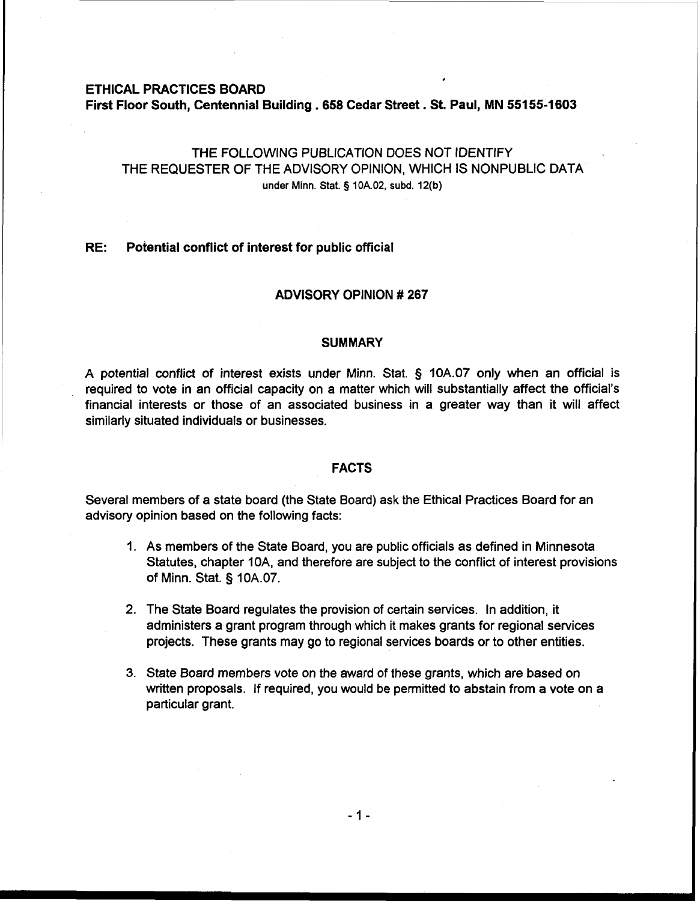#### **ETHICAL PRACTICES BOARD**

**First Floor South, Centennial Building .658 Cedar Street. St. Paul, MN 55155-1603** 

# THE FOLLOWING PUBLICATION DOES NOT IDENTIFY THE REQUESTER OF THE ADVISORY OPINION, WHICH IS NONPUBLIC DATA **under Minn.** Stat. **5 10A.02, subd. 12(b)**

,

# **RE: Potential conflict of interest for public official**

## **ADVISORY OPINION** # **267**

#### **SUMMARY**

A potential conflict of interest exists under Minn. Stat. § 10A.07 only when an official is required to vote in an official capacity on a matter which will substantially affect the official's financial interests or those of an associated business in a greater way than it will affect similarly situated individuals or businesses.

#### **FACTS**

Several members of a state board (the State Board) ask the Ethical Practices Board for an advisory opinion based on the following facts:

- 1. As members of the State Board, you are public officials as defined in Minnesota Statutes, chapter IOA, and therefore are subject to the conflict of interest provisions of Minn. Stat. § 10A.07.
- 2. The State Board regulates the provision of certain services. In addition, it administers a grant program through which it makes grants for regional services projects. These grants may go to regional services boards or to other entities.
- 3. State Board members vote on the award of these grants, which are based on written proposals. If required, you would be permitted to abstain from a vote on a particular grant.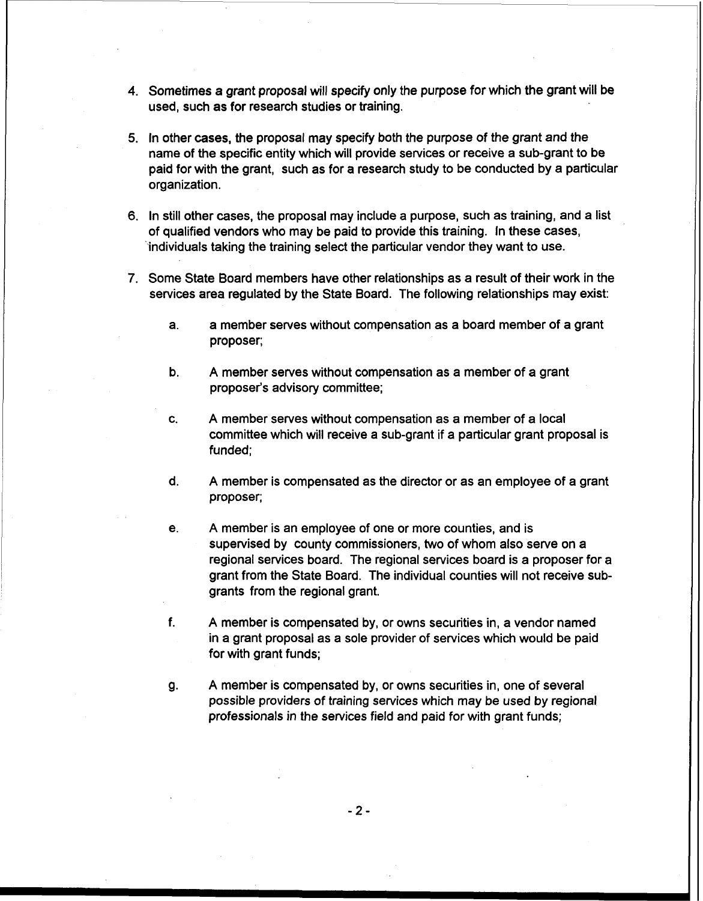- 4. Sometimes a grant proposal will specify only the purpose for which the grant will be used, such as for research studies or training.
- 5. In other cases, the proposal may specify both the purpose of the grant and the name of the specific entity which will provide services or receive a sub-grant to be paid for with the grant, such as for a research study to be conducted by a particular organization.
- 6. In still other cases, the proposal may include a purpose, such as training, and a list of qualified vendors who may be paid to provide this training. In these cases, 'individuals taking the training select the particular vendor they want to use.
- **7.** Some State Board members have other relationships as a result of their work in the services area regulated by the State Board. The following relationships may exist:
	- a. a member serves without compensation as a board member of a grant proposer;
	- b. A member serves without compensation as a member of a grant proposer's advisory committee;
	- c. A member serves without compensation as a member of a local committee which will receive a sub-grant if a particular grant proposal is funded;
	- d. A member is compensated as the director or as an employee of a grant proposer;
	- e. A member is an employee of one or more counties, and is supervised by county commissioners, two of whom also serve on a regional services board. The regional services board is a proposer for a grant from the State Board. The individual counties will not receive subgrants from the regional grant.
	- f. A member is compensated by, or owns securities in, a vendor named in a grant proposal as a sole provider of services which would be paid for with grant funds;
	- g. A member is compensated by, or owns securities in, one of several possible providers of training services which may be used by regional professionals in the services field and paid for with grant funds;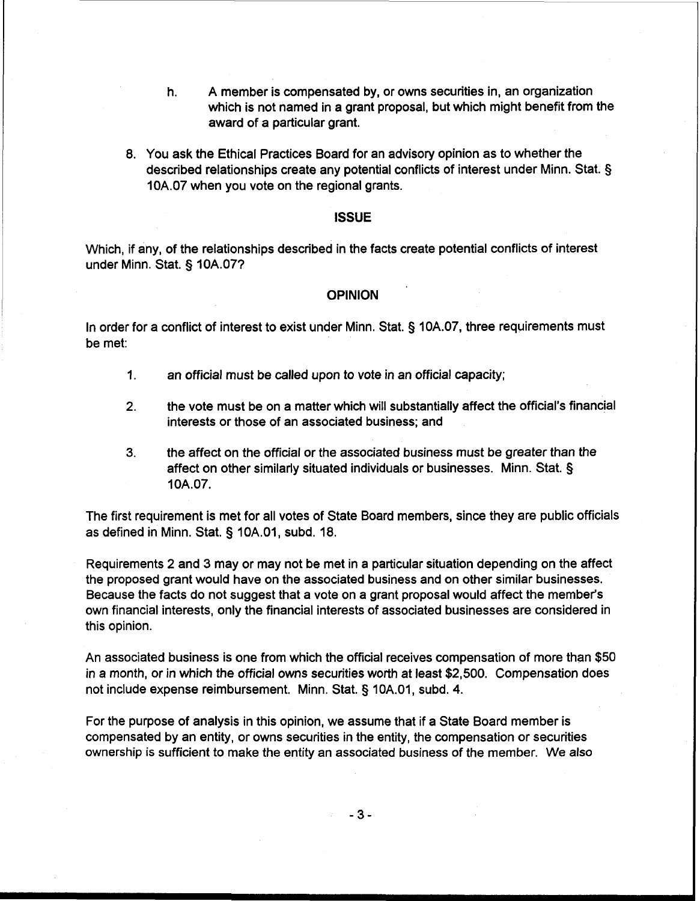- h. A member is compensated by, or owns securities in, an organization which is not named in a grant proposal, but which might benefit from the award of a particular grant.
- 8. You ask the Ethical Practices Board for an advisory opinion as to whether the described relationships create any potential conflicts of interest under Minn. Stat. § 10A.07 when you vote on the regional grants.

#### **ISSUE**

Which, if any, of the relationships described in the facts create potential conflicts of interest under Minn. Stat. § 10A.071

#### **OPINION**

In order for a conflict of interest to exist under Minn. Stat. § 10A.07, three requirements must be met:

- 1. an official must be called upon to vote in an official capacity;
- **2.** the vote must be on a matter which will substantially affect the official's financial interests or those of an associated business; and
- **3.** the affect on the official or the associated business must be greater than the affect on other similarly situated individuals or businesses. Minn. Stat. § 10A.07.

The first requirement is met for all votes of State Board members, since they are public officials as defined in Minn. Stat. § 10A.O1, subd. 18.

Requirements 2 and 3 may or may not be met in a particular situation depending on the affect the proposed grant would have on the associated business and on other similar businesses. Because the facts do not suggest that a vote on a grant proposal would affect the member's own financial interests, only the financial interests of associated businesses are considered in this opinion.

An associated business is one from which the official receives compensation of more than \$50 in a month, or in which the official owns securities worth at least \$2,500. Compensation does not include expense reimbursement. Minn. Stat. **3** 10A.O1, subd. 4.

For the purpose of analysis in this opinion, we assume that if a State Board member is compensated by an entity, or owns securities in the entity, the compensation or securities ownership is sufficient to make the entity an associated business of the member. We also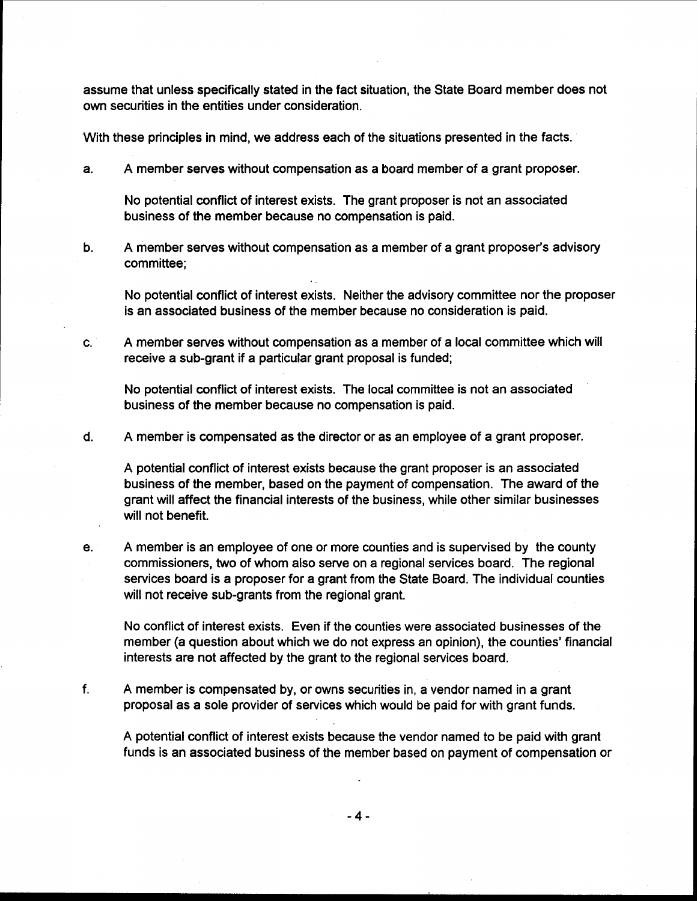assume that unless specifically stated in the fact situation, the State Board member does not own securities in the entities under consideration.

With these principles in mind, we address each of the situations presented in the facts.

a. A member serves without compensation as a board member of a grant proposer

No potential conflict of interest exists. The grant proposer is not an associated business of the member because no compensation is paid.

b. A member serves without compensation as a member of a grant proposer's advisory committee;

No potential conflict of interest exists. Neither the advisory committee nor the proposer is an associated business of the member because no consideration is paid.

c. A member serves without compensation as a member of a local committee which will receive a sub-grant if a particular grant proposal is funded;

No potential conflict of interest exists. The local committee is not an associated business of the member because no compensation is paid.

d. A member is compensated as the director or as an employee of a grant proposer.

A potential conflict of interest exists because the grant proposer is an associated business of the member, based on the payment of compensation. The award of the grant will affect the financial interests of the business, while other similar businesses will not benefit.

e. A member is an employee of one or more counties and is supervised by the county commissioners, two of whom also serve on a regional services board. The regional services board is a proposer for a grant from the State Board. The individual counties will not receive sub-grants from the regional grant.

No conflict of interest exists. Even if the counties were associated businesses of the member (a question about which we do not express an opinion), the counties' financial interests are not affected by the grant to the regional services board.

f. A member is compensated by, or owns securities in, a vendor named in a grant proposal as a sole provider of services which would be paid for with grant funds.

A potential conflict of interest exists because the vendor named to be paid with grant funds is an associated business of the member based on payment of compensation or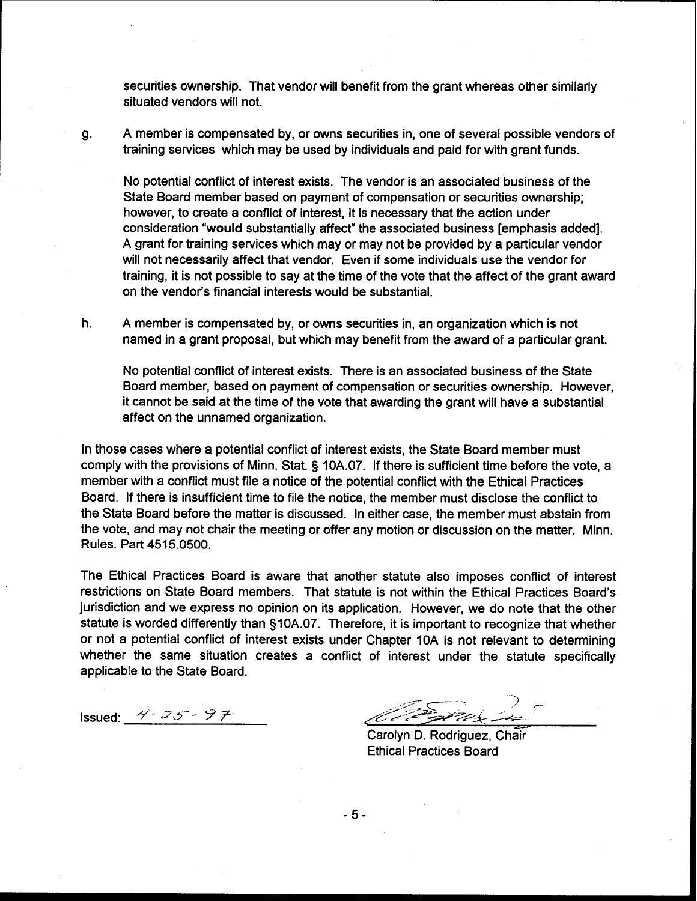securities ownership. That vendor will benefit from the grant whereas other similarly situated vendors will not.

g. **A** member is compensated by, or owns securities in, one of several possible vendors of training services which may be used by individuals and paid for with grant funds.

No potential conflict of interest exists. The vendor is an associated business of the State Board member based on payment of compensation or securities ownership; however, to create a conflict of interest, it is necessary that the action under consideration "would substantially affect" the associated business [emphasis added]. **A** grant for training services which may or may not be provided by a particular vendor will not necessarily affect that vendor. Even if some individuals use the vendor for training, it is not possible to say at the time of the vote that the affect of the grant award on the vendor's financial interests would be substantial.

h. **A** member is compensated by, or owns securities in, an organization which is not named in a grant proposal, but which may benefit from the award of a particular grant.

No potential conflict of interest exists. There is an associated business of the State Board member, based on payment of compensation or securities ownership. However, it cannot be said at the time of the vote that awarding the grant will have a substantial affect on the unnamed organization.

In those cases where a potential conflict of interest exists, the State Board member must comply with the provisions of Minn. Stat. § **10A.07.** If there is sufficient time before the vote, a member with a conflict must file a notice of the potential conflict with the Ethical Practices Board. If there is insufficient time to file the notice, the member must disclose the conflict to the State Board before the matter is discussed. In either case, the member must abstain from the vote, and may not chair the meeting or offer any motion or discussion on the matter. Minn. Rules. Part **4515.0500.** 

The Ethical Practices Board is aware that another statute also imposes conflict of interest restrictions on State Board members. That statute is not within the Ethical Practices Board's jurisdiction and we express no opinion on its application. However, we do note that the other statute is worded differently than **§10A.07.** Therefore, it is important to recognize that whether or not a potential conflict of interest exists under Chapter **10A** is not relevant to determining whether the same situation creates a conflict of interest under the statute specifically applicable to the State Board.

Issued:  $4 - 25 - 97$ 

.,.Y=- <- 7 <sup>7</sup>/&-/ *-:pyp/+* -+-- --

Carolyn D. Rodriguez, Chair Ethical Practices Board

 $-5-$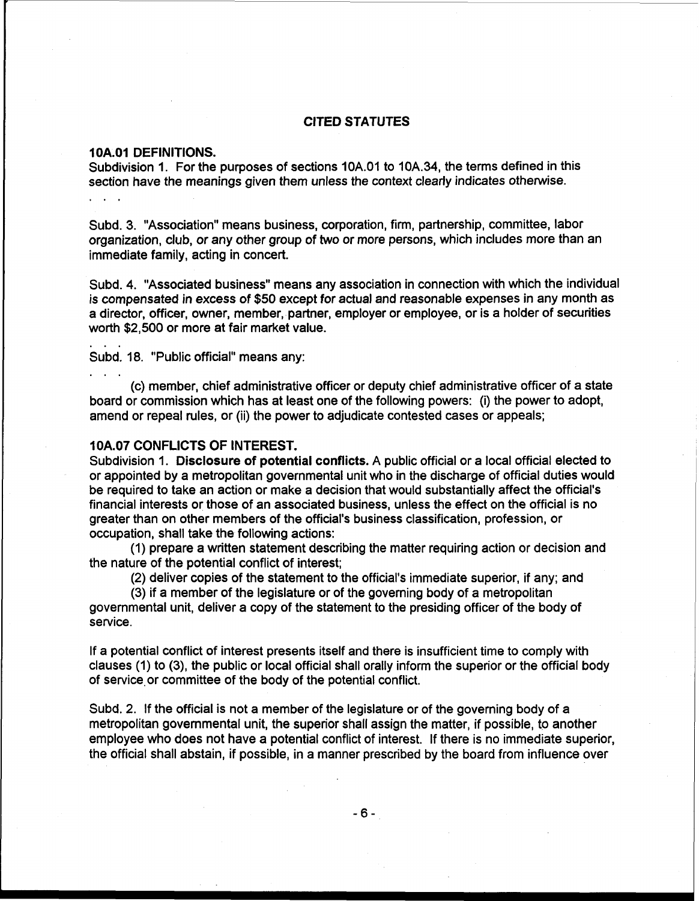### **CITED STATUTES**

#### **1 OA.O1 DEFINITIONS.**

Subdivision I. For the purposes of sections 10A.O1 to 10A.34, the terms defined in this section have the meanings given them unless the context clearly indicates otherwise.

Subd. 3. "Association" means business, corporation, firm, partnership, committee, labor organization, club, or any other group of two or more persons, which includes more than an immediate family, acting in concert.

Subd. 4. "Associated business" means any association in connection with which the individual is compensated in excess of \$50 except for actual and reasonable expenses in any month as a director, officer, owner, member, partner, employer or employee, or is a holder of securities worth \$2,500 or more at fair market value.

Subd. 18. "Public official" means any:

(c) member, chief administrative officer or deputy chief administrative officer of a state board or commission which has at least one of the following powers: (i) the power to adopt, amend or repeal rules, or (ii) the power to adjudicate contested cases or appeals;

### **1 OA.07 CONFLICTS OF INTEREST.**

Subdivision 1. **Disclosure** of **potential conflicts.** A public official or a local official elected to or appointed by a metropolitan governmental unit who in the discharge of official duties would be required to take an action or make a decision that would substantially affect the official's financial interests or those of an associated business, unless the effect on the official is no greater than on other members of the official's business classification, profession, or occupation, shall take the following actions:

(1) prepare a written statement describing the matter requiring action or decision and the nature of the potential conflict of interest;

(2) deliver copies of the statement to the official's immediate superior, if any; and

(3) if a member of the legislature or of the governing body of a metropolitan governmental unit, deliver a copy of the statement to the presiding officer of the body of service.

If a potential conflict of interest presents itself and there is insufficient time to comply with clauses (1) to **(3),** the public or local official shall orally inform the superior or the official body of service.or committee of the body of the potential conflict.

Subd. 2. If the official is not a member of the legislature or of the governing body of a metropolitan governmental unit, the superior shall assign the matter, if possible, to another employee who does not have a potential conflict of interest. If there is no immediate superior, the official shall abstain, if possible, in a manner prescribed by the board from influence over